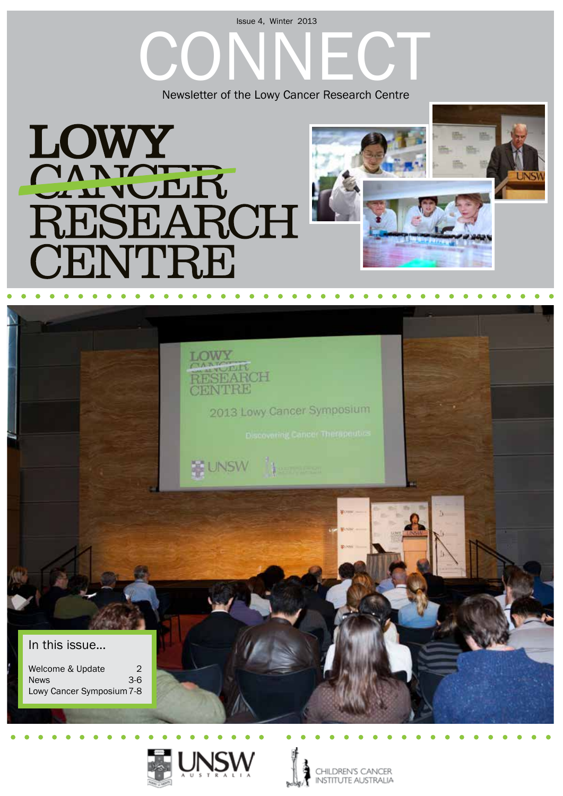#### Issue 4, Winter 2013

Newsletter of the Lowy Cancer Research Centre









CHILDREN'S CANCER **INSTITUTE AUSTRALIA**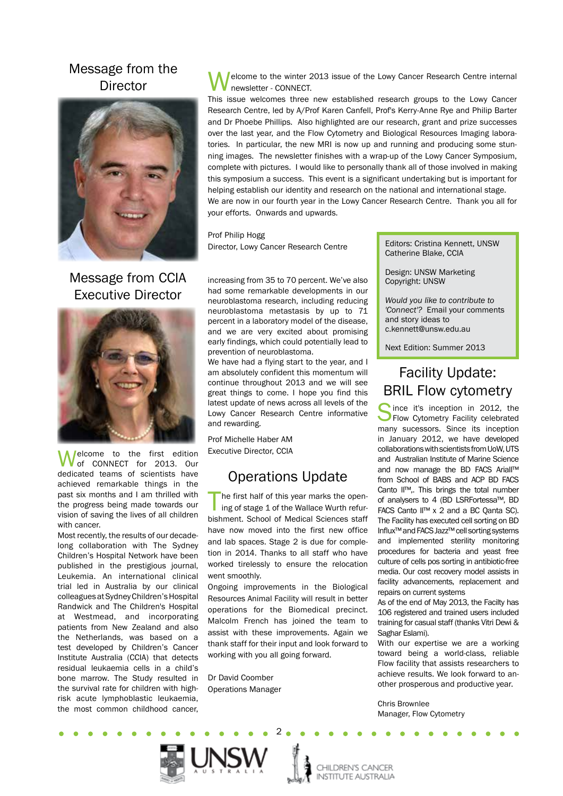#### Message from the **Director**



Message from CCIA Executive Director



Welcome to the first edition<br>of CONNECT for 2013. Our dedicated teams of scientists have achieved remarkable things in the past six months and I am thrilled with the progress being made towards our vision of saving the lives of all children with cancer.

Most recently, the results of our decadelong collaboration with The Sydney Children's Hospital Network have been published in the prestigious journal, Leukemia. An international clinical trial led in Australia by our clinical colleagues at Sydney Children's Hospital Randwick and The Children's Hospital at Westmead, and incorporating patients from New Zealand and also the Netherlands, was based on a test developed by Children's Cancer Institute Australia (CCIA) that detects residual leukaemia cells in a child's bone marrow. The Study resulted in the survival rate for children with highrisk acute lymphoblastic leukaemia, the most common childhood cancer,

elcome to the winter 2013 issue of the Lowy Cancer Research Centre internal newsletter - CONNECT.

This issue welcomes three new established research groups to the Lowy Cancer Research Centre, led by A/Prof Karen Canfell, Prof's Kerry-Anne Rye and Philip Barter and Dr Phoebe Phillips. Also highlighted are our research, grant and prize successes over the last year, and the Flow Cytometry and Biological Resources Imaging laboratories. In particular, the new MRI is now up and running and producing some stunning images. The newsletter finishes with a wrap-up of the Lowy Cancer Symposium, complete with pictures. I would like to personally thank all of those involved in making this symposium a success. This event is a significant undertaking but is important for helping establish our identity and research on the national and international stage. We are now in our fourth year in the Lowy Cancer Research Centre. Thank you all for your efforts. Onwards and upwards.

Prof Philip Hogg Director, Lowy Cancer Research Centre

increasing from 35 to 70 percent. We've also had some remarkable developments in our neuroblastoma research, including reducing neuroblastoma metastasis by up to 71 percent in a laboratory model of the disease, and we are very excited about promising early findings, which could potentially lead to prevention of neuroblastoma.

We have had a flying start to the year, and I am absolutely confident this momentum will continue throughout 2013 and we will see great things to come. I hope you find this latest update of news across all levels of the Lowy Cancer Research Centre informative and rewarding.

Prof Michelle Haber AM Executive Director, CCIA

### Operations Update

The first half of this year marks the opening of stage 1 of the Wallace Wurth refurbishment. School of Medical Sciences staff have now moved into the first new office and lab spaces. Stage 2 is due for completion in 2014. Thanks to all staff who have worked tirelessly to ensure the relocation went smoothly.

Ongoing improvements in the Biological Resources Animal Facility will result in better operations for the Biomedical precinct. Malcolm French has joined the team to assist with these improvements. Again we thank staff for their input and look forward to working with you all going forward.

2

Dr David Coomber Operations Manager Editors: Cristina Kennett, UNSW Catherine Blake, CCIA

Design: UNSW Marketing Copyright: UNSW

*Would you like to contribute to 'Connect'?* Email your comments and story ideas to c.kennett@unsw.edu.au

Next Edition: Summer 2013

# Facility Update: BRIL Flow cytometry

Since it's inception in 2012, the<br>Flow Cytometry Facility celebrated<br>many autocopy Cines its inception many sucessors. Since its inception in January 2012, we have developed collaborations with scientists from UoW, UTS and Australian Institute of Marine Science and now manage the BD FACS AriaII™ from School of BABS and ACP BD FACS Canto II™,. This brings the total number of analysers to 4 (BD LSRFortessa™, BD FACS Canto II™ x 2 and a BC Qanta SC). The Facility has executed cell sorting on BD Influx™ and FACS Jazz™ cell sorting systems and implemented sterility monitoring procedures for bacteria and yeast free culture of cells pos sorting in antibiotic-free media. Our cost recovery model assists in facility advancements, replacement and repairs on current systems

As of the end of May 2013, the Facilty has 106 registered and trained users included training for casual staff (thanks Vitri Dewi & Saghar Eslami).

With our expertise we are a working toward being a world-class, reliable Flow facility that assists researchers to achieve results. We look forward to another prosperous and productive year.

Chris Brownlee Manager, Flow Cytometry



CHILDREN'S CANCER **INSTITUTE AUSTRALIA**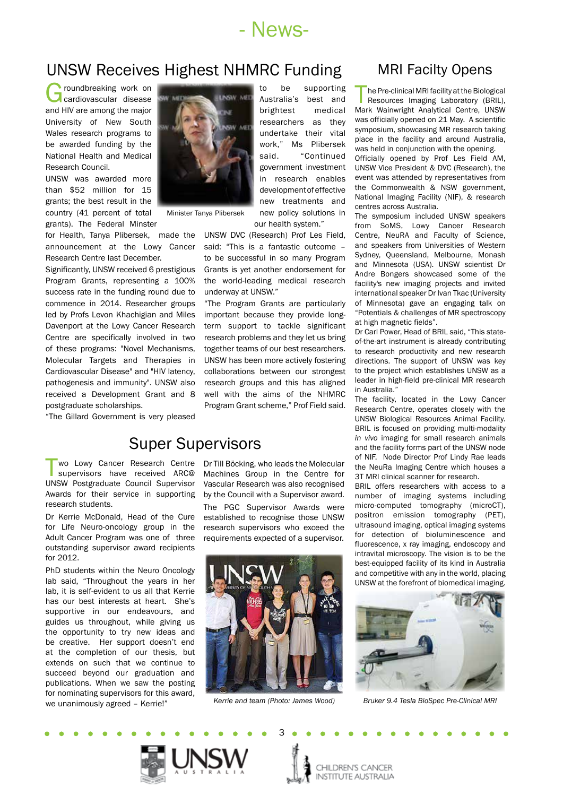

to be supporting

new policy solutions in

# UNSW Receives Highest NHMRC Funding MRI Facilty Opens

Groundbreaking work on<br>
cardiovascular disease and HIV are among the major University of New South Wales research programs to be awarded funding by the National Health and Medical Research Council.

UNSW was awarded more than \$52 million for 15 grants; the best result in the country (41 percent of total grants). The Federal Minster

for Health, Tanya Plibersek, made the announcement at the Lowy Cancer Research Centre last December.

Significantly, UNSW received 6 prestigious Program Grants, representing a 100% success rate in the funding round due to commence in 2014. Researcher groups led by Profs Levon Khachigian and Miles Davenport at the Lowy Cancer Research Centre are specifically involved in two of these programs: "Novel Mechanisms, Molecular Targets and Therapies in Cardiovascular Disease" and "HIV latency, pathogenesis and immunity". UNSW also received a Development Grant and 8 postgraduate scholarships.

"The Gillard Government is very pleased

#### **INSW AIR** Australia's best and brightest medical researchers as they undertake their vital work," Ms Plibersek said. "Continued government investment in research enables development of effective new treatments and

our health system." Minister Tanya Plibersek

> UNSW DVC (Research) Prof Les Field, said: "This is a fantastic outcome – to be successful in so many Program Grants is yet another endorsement for the world-leading medical research underway at UNSW."

> "The Program Grants are particularly important because they provide longterm support to tackle significant research problems and they let us bring together teams of our best researchers. UNSW has been more actively fostering collaborations between our strongest research groups and this has aligned well with the aims of the NHMRC Program Grant scheme," Prof Field said.

## Super Supervisors

wo Lowy Cancer Research Centre supervisors have received ARC@ UNSW Postgraduate Council Supervisor Awards for their service in supporting research students.

Dr Kerrie McDonald, Head of the Cure for Life Neuro-oncology group in the Adult Cancer Program was one of three outstanding supervisor award recipients for 2012.

PhD students within the Neuro Oncology lab said, "Throughout the years in her lab, it is self-evident to us all that Kerrie has our best interests at heart. She's supportive in our endeavours, and guides us throughout, while giving us the opportunity to try new ideas and be creative. Her support doesn't end at the completion of our thesis, but extends on such that we continue to succeed beyond our graduation and publications. When we saw the posting for nominating supervisors for this award, we unanimously agreed – Kerrie!"

Dr Till Böcking, who leads the Molecular Machines Group in the Centre for Vascular Research was also recognised by the Council with a Supervisor award.

The PGC Supervisor Awards were established to recognise those UNSW research supervisors who exceed the requirements expected of a supervisor.



*Kerrie and team (Photo: James Wood)*

3

The Pre-clinical MRI facility at the Biological<br>
Resources Imaging Laboratory (BRIL),<br>
Mark Wainwright, Appletiaal Centre, UNSW Mark Wainwright Analytical Centre, UNSW was officially opened on 21 May. A scientific symposium, showcasing MR research taking place in the facility and around Australia, was held in conjunction with the opening. Officially opened by Prof Les Field AM, UNSW Vice President & DVC (Research), the event was attended by representatives from

the Commonwealth & NSW government, National Imaging Facility (NIF), & research centres across Australia.

The symposium included UNSW speakers from SoMS, Lowy Cancer Research Centre, NeuRA and Faculty of Science, and speakers from Universities of Western Sydney, Queensland, Melbourne, Monash and Minnesota (USA). UNSW scientist Dr Andre Bongers showcased some of the facility's new imaging projects and invited international speaker Dr Ivan Tkac (University of Minnesota) gave an engaging talk on "Potentials & challenges of MR spectroscopy at high magnetic fields".

Dr Carl Power, Head of BRIL said, "This stateof-the-art instrument is already contributing to research productivity and new research directions. The support of UNSW was key to the project which establishes UNSW as a leader in high-field pre-clinical MR research in Australia."

The facility, located in the Lowy Cancer Research Centre, operates closely with the UNSW Biological Resources Animal Facility. BRIL is focused on providing multi-modality *in vivo* imaging for small research animals and the facility forms part of the UNSW node of NIF. Node Director Prof Lindy Rae leads the NeuRa Imaging Centre which houses a 3T MRI clinical scanner for research.

BRIL offers researchers with access to a number of imaging systems including micro-computed tomography (microCT), positron emission tomography (PET), ultrasound imaging, optical imaging systems for detection of bioluminescence and fluorescence, x ray imaging, endoscopy and intravital microscopy. The vision is to be the best-equipped facility of its kind in Australia and competitive with any in the world, placing UNSW at the forefront of biomedical imaging.



*Bruker 9.4 Tesla BioSpec Pre-Clinical MRI*

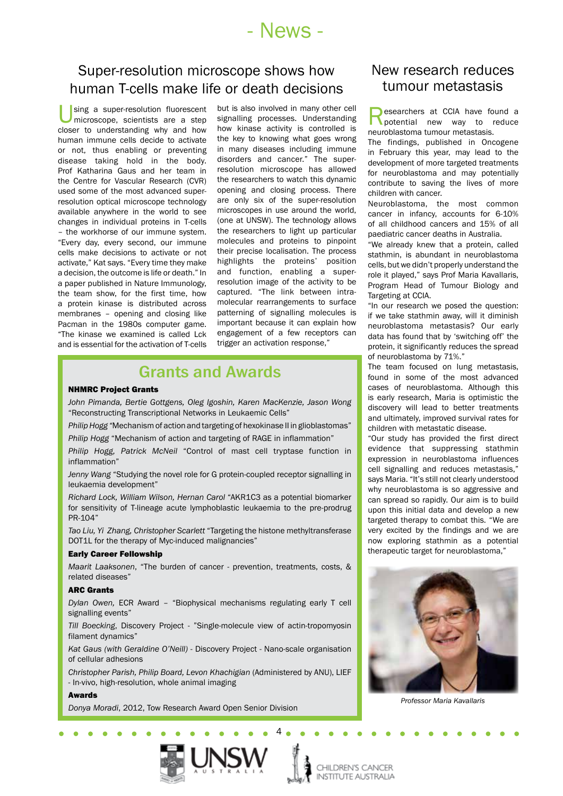# - News -

## Super-resolution microscope shows how human T-cells make life or death decisions

sing a super-resolution fluorescent microscope, scientists are a step closer to understanding why and how human immune cells decide to activate or not, thus enabling or preventing disease taking hold in the body. Prof Katharina Gaus and her team in the Centre for Vascular Research (CVR) used some of the most advanced superresolution optical microscope technology available anywhere in the world to see changes in individual proteins in T-cells – the workhorse of our immune system. "Every day, every second, our immune cells make decisions to activate or not activate," Kat says. "Every time they make a decision, the outcome is life or death." In a paper published in Nature Immunology, the team show, for the first time, how a protein kinase is distributed across membranes – opening and closing like Pacman in the 1980s computer game. "The kinase we examined is called Lck and is essential for the activation of T-cells

but is also involved in many other cell signalling processes. Understanding how kinase activity is controlled is the key to knowing what goes wrong in many diseases including immune disorders and cancer." The superresolution microscope has allowed the researchers to watch this dynamic opening and closing process. There are only six of the super-resolution microscopes in use around the world, (one at UNSW). The technology allows the researchers to light up particular molecules and proteins to pinpoint their precise localisation. The process highlights the proteins' position and function, enabling a superresolution image of the activity to be captured. "The link between intramolecular rearrangements to surface patterning of signalling molecules is important because it can explain how engagement of a few receptors can trigger an activation response,"

## Grants and Awards

#### NHMRC Project Grants

*John Pimanda, Bertie Gottgens, Oleg Igoshin, Karen MacKenzie, Jason Wong*  "Reconstructing Transcriptional Networks in Leukaemic Cells"

*Philip Hogg "*Mechanism of action and targeting of hexokinase II in glioblastomas"

*Philip Hogg* "Mechanism of action and targeting of RAGE in inflammation"

*Philip Hogg, Patrick McNeil* "Control of mast cell tryptase function in inflammation"

*Jenny Wang* "Studying the novel role for G protein-coupled receptor signalling in leukaemia development"

*Richard Lock, William Wilson, Hernan Carol* "AKR1C3 as a potential biomarker for sensitivity of T-lineage acute lymphoblastic leukaemia to the pre-prodrug PR-104"

*Tao Liu, Yi Zhang, Christopher Scarlett* "Targeting the histone methyltransferase DOT1L for the therapy of Myc-induced malignancies"

#### Early Career Fellowship

*Maarit Laaksonen*, "The burden of cancer - prevention, treatments, costs, & related diseases"

#### ARC Grants

*Dylan Owen,* ECR Award – "Biophysical mechanisms regulating early T cell signalling events"

*Till Boecking*, Discovery Project - "Single-molecule view of actin-tropomyosin filament dynamics"

*Kat Gaus (with Geraldine O'Neill)* - Discovery Project - Nano-scale organisation of cellular adhesions

*Christopher Parish, Philip Board, Levon Khachigian* (Administered by ANU), LIEF - In-vivo, high-resolution, whole animal imaging

#### **Awards**

*Donya Moradi*, 2012, Tow Research Award Open Senior Division

#### New research reduces tumour metastasis

**Researchers at CCIA have found a**<br> **Researchers** new way to reduce neuroblastoma tumour metastasis.

The findings, published in Oncogene in February this year, may lead to the development of more targeted treatments for neuroblastoma and may potentially contribute to saving the lives of more children with cancer.

Neuroblastoma, the most common cancer in infancy, accounts for 6-10% of all childhood cancers and 15% of all paediatric cancer deaths in Australia.

"We already knew that a protein, called stathmin, is abundant in neuroblastoma cells, but we didn't properly understand the role it played," says Prof Maria Kavallaris, Program Head of Tumour Biology and Targeting at CCIA.

"In our research we posed the question: if we take stathmin away, will it diminish neuroblastoma metastasis? Our early data has found that by 'switching off' the protein, it significantly reduces the spread of neuroblastoma by 71%."

The team focused on lung metastasis, found in some of the most advanced cases of neuroblastoma. Although this is early research, Maria is optimistic the discovery will lead to better treatments and ultimately, improved survival rates for children with metastatic disease.

"Our study has provided the first direct evidence that suppressing stathmin expression in neuroblastoma influences cell signalling and reduces metastasis," says Maria. "It's still not clearly understood why neuroblastoma is so aggressive and can spread so rapidly. Our aim is to build upon this initial data and develop a new targeted therapy to combat this. "We are very excited by the findings and we are now exploring stathmin as a potential therapeutic target for neuroblastoma,"



*Professor Maria Kavallaris*



4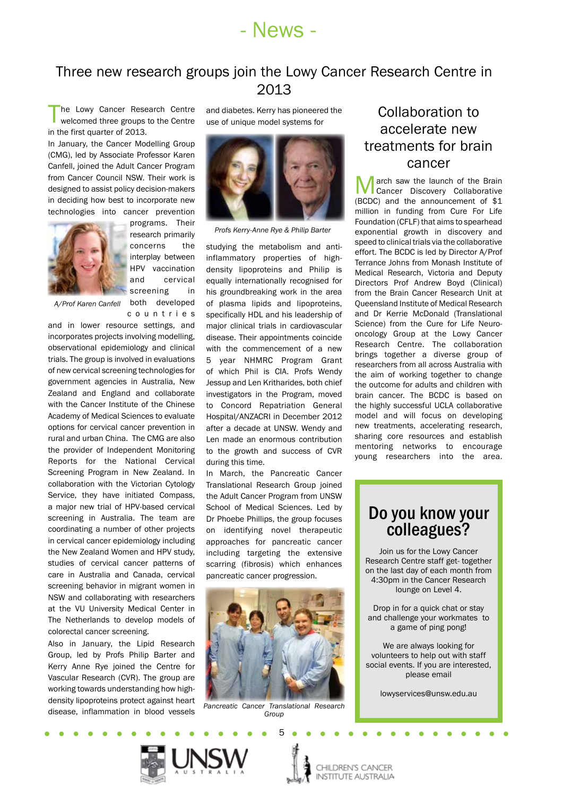

## Three new research groups join the Lowy Cancer Research Centre in 2013

The Lowy Cancer Research Centre welcomed three groups to the Centre in the first quarter of 2013.

In January, the Cancer Modelling Group (CMG), led by Associate Professor Karen Canfell, joined the Adult Cancer Program from Cancer Council NSW. Their work is designed to assist policy decision-makers in deciding how best to incorporate new technologies into cancer prevention



programs. Their research primarily concerns the interplay between HPV vaccination and cervical screening in both developed

c o u n t r i e s *A/Prof Karen Canfell*

and in lower resource settings, and incorporates projects involving modelling, observational epidemiology and clinical trials. The group is involved in evaluations of new cervical screening technologies for government agencies in Australia, New Zealand and England and collaborate with the Cancer Institute of the Chinese Academy of Medical Sciences to evaluate options for cervical cancer prevention in rural and urban China. The CMG are also the provider of Independent Monitoring Reports for the National Cervical Screening Program in New Zealand. In collaboration with the Victorian Cytology Service, they have initiated Compass, a major new trial of HPV-based cervical screening in Australia. The team are coordinating a number of other projects in cervical cancer epidemiology including the New Zealand Women and HPV study, studies of cervical cancer patterns of care in Australia and Canada, cervical screening behavior in migrant women in NSW and collaborating with researchers at the VU University Medical Center in The Netherlands to develop models of colorectal cancer screening.

Also in January, the Lipid Research Group, led by Profs Philip Barter and Kerry Anne Rye joined the Centre for Vascular Research (CVR). The group are working towards understanding how highdensity lipoproteins protect against heart disease, inflammation in blood vessels

and diabetes. Kerry has pioneered the use of unique model systems for



*Profs Kerry-Anne Rye & Philip Barter*

studying the metabolism and antiinflammatory properties of highdensity lipoproteins and Philip is equally internationally recognised for his groundbreaking work in the area of plasma lipids and lipoproteins, specifically HDL and his leadership of major clinical trials in cardiovascular disease. Their appointments coincide with the commencement of a new 5 year NHMRC Program Grant of which Phil is CIA. Profs Wendy Jessup and Len Kritharides, both chief investigators in the Program, moved to Concord Repatriation General Hospital/ANZACRI in December 2012 after a decade at UNSW. Wendy and Len made an enormous contribution to the growth and success of CVR during this time.

In March, the Pancreatic Cancer Translational Research Group joined the Adult Cancer Program from UNSW School of Medical Sciences. Led by Dr Phoebe Phillips, the group focuses on identifying novel therapeutic approaches for pancreatic cancer including targeting the extensive scarring (fibrosis) which enhances pancreatic cancer progression.



*Pancreatic Cancer Translational Research Group*

5

# Collaboration to accelerate new treatments for brain cancer

**March saw the launch of the Brain**<br>
Cancer Discovery Collaborative<br>
(PCDC) and the appearancement of \$4 (BCDC) and the announcement of \$1 million in funding from Cure For Life Foundation (CFLF) that aims to spearhead exponential growth in discovery and speed to clinical trials via the collaborative effort. The BCDC is led by Director A/Prof Terrance Johns from Monash Institute of Medical Research, Victoria and Deputy Directors Prof Andrew Boyd (Clinical) from the Brain Cancer Research Unit at Queensland Institute of Medical Research and Dr Kerrie McDonald (Translational Science) from the Cure for Life Neurooncology Group at the Lowy Cancer Research Centre. The collaboration brings together a diverse group of researchers from all across Australia with the aim of working together to change the outcome for adults and children with brain cancer. The BCDC is based on the highly successful UCLA collaborative model and will focus on developing new treatments, accelerating research, sharing core resources and establish mentoring networks to encourage young researchers into the area.

# Do you know your<br>colleagues?

Join us for the Lowy Cancer Research Centre staff get- together on the last day of each month from 4:30pm in the Cancer Research lounge on Level 4.

Drop in for a quick chat or stay and challenge your workmates to a game of ping pong!

We are always looking for volunteers to help out with staff social events. If you are interested, please email

lowyservices@unsw.edu.au

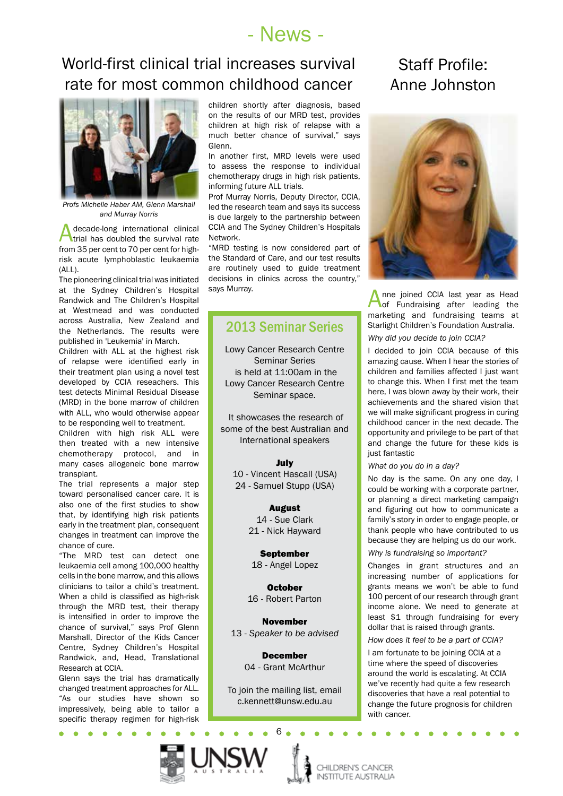# - News -

# World-first clinical trial increases survival rate for most common childhood cancer



*Profs Michelle Haber AM, Glenn Marshall and Murray Norris*

A decade-long international clinical<br>trial has doubled the survival rate from 35 per cent to 70 per cent for highrisk acute lymphoblastic leukaemia (ALL).

The pioneering clinical trial was initiated at the Sydney Children's Hospital Randwick and The Children's Hospital at Westmead and was conducted across Australia, New Zealand and the Netherlands. The results were published in 'Leukemia' in March.

Children with ALL at the highest risk of relapse were identified early in their treatment plan using a novel test developed by CCIA reseachers. This test detects Minimal Residual Disease (MRD) in the bone marrow of children with ALL, who would otherwise appear to be responding well to treatment.

Children with high risk ALL were then treated with a new intensive chemotherapy protocol, and in many cases allogeneic bone marrow transplant.

The trial represents a major step toward personalised cancer care. It is also one of the first studies to show that, by identifying high risk patients early in the treatment plan, consequent changes in treatment can improve the chance of cure.

"The MRD test can detect one leukaemia cell among 100,000 healthy cells in the bone marrow, and this allows clinicians to tailor a child's treatment. When a child is classified as high-risk through the MRD test, their therapy is intensified in order to improve the chance of survival," says Prof Glenn Marshall, Director of the Kids Cancer Centre, Sydney Children's Hospital Randwick, and, Head, Translational Research at CCIA.

Glenn says the trial has dramatically changed treatment approaches for ALL. "As our studies have shown so impressively, being able to tailor a specific therapy regimen for high-risk

 $\blacksquare$ 

children shortly after diagnosis, based on the results of our MRD test, provides children at high risk of relapse with a much better chance of survival," says Glenn.

In another first, MRD levels were used to assess the response to individual chemotherapy drugs in high risk patients, informing future ALL trials.

Prof Murray Norris, Deputy Director, CCIA, led the research team and says its success is due largely to the partnership between CCIA and The Sydney Children's Hospitals Network.

"MRD testing is now considered part of the Standard of Care, and our test results are routinely used to guide treatment decisions in clinics across the country," says Murray.

#### 2013 Seminar Series

Lowy Cancer Research Centre Seminar Series is held at 11:00am in the Lowy Cancer Research Centre Seminar space.

 It showcases the research of some of the best Australian and International speakers

#### July

10 - Vincent Hascall (USA) 24 - Samuel Stupp (USA)

> August 14 - Sue Clark 21 - Nick Hayward

September 18 - Angel Lopez

October 16 - Robert Parton

November 13 - *Speaker to be advised*

> December 04 - Grant McArthur

To join the mailing list, email c.kennett@unsw.edu.au

6

# Staff Profile: Anne Johnston



Anne joined CCIA last year as Head<br>of Fundraising after leading the marketing and fundraising teams at Starlight Children's Foundation Australia.

*Why did you decide to join CCIA?*

I decided to join CCIA because of this amazing cause. When I hear the stories of children and families affected I just want to change this. When I first met the team here, I was blown away by their work, their achievements and the shared vision that we will make significant progress in curing childhood cancer in the next decade. The opportunity and privilege to be part of that and change the future for these kids is just fantastic

#### *What do you do in a day?*

No day is the same. On any one day, I could be working with a corporate partner, or planning a direct marketing campaign and figuring out how to communicate a family's story in order to engage people, or thank people who have contributed to us because they are helping us do our work.

#### *Why is fundraising so important?*

Changes in grant structures and an increasing number of applications for grants means we won't be able to fund 100 percent of our research through grant income alone. We need to generate at least \$1 through fundraising for every dollar that is raised through grants.

*How does it feel to be a part of CCIA?*

I am fortunate to be joining CCIA at a time where the speed of discoveries around the world is escalating. At CCIA we've recently had quite a few research discoveries that have a real potential to change the future prognosis for children with cancer.

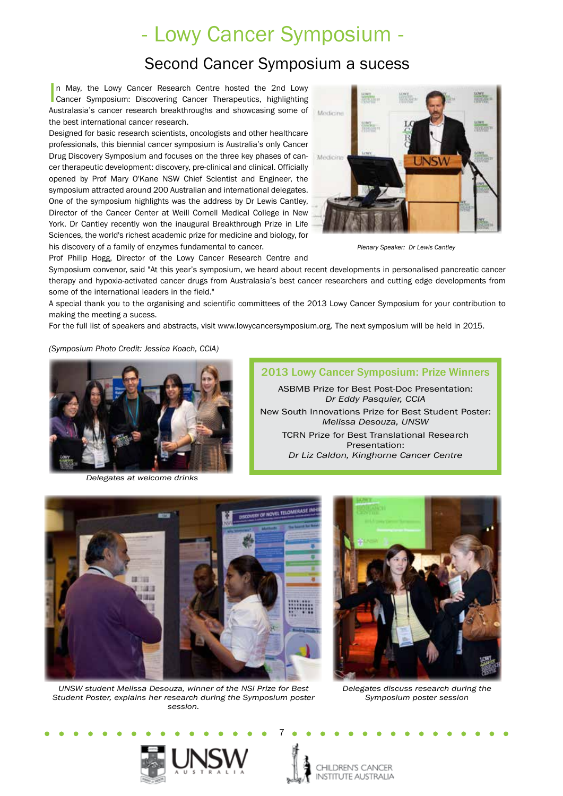# - Lowy Cancer Symposium -

# Second Cancer Symposium a sucess

In May, the Lowy Cancer Research Centre hosted the 2nd Lowy<br>Cancer Symposium: Discovering Cancer Therapeutics, highlighting In May, the Lowy Cancer Research Centre hosted the 2nd Lowy Australasia's cancer research breakthroughs and showcasing some of the best international cancer research.

Designed for basic research scientists, oncologists and other healthcare professionals, this biennial cancer symposium is Australia's only Cancer Drug Discovery Symposium and focuses on the three key phases of cancer therapeutic development: discovery, pre-clinical and clinical. Officially opened by Prof Mary O'Kane NSW Chief Scientist and Engineer, the symposium attracted around 200 Australian and international delegates. One of the symposium highlights was the address by Dr Lewis Cantley, Director of the Cancer Center at Weill Cornell Medical College in New York. Dr Cantley recently won the inaugural Breakthrough Prize in Life Sciences, the world's richest academic prize for medicine and biology, for his discovery of a family of enzymes fundamental to cancer.



*Plenary Speaker: Dr Lewis Cantley*

Prof Philip Hogg, Director of the Lowy Cancer Research Centre and

Symposium convenor, said "At this year's symposium, we heard about recent developments in personalised pancreatic cancer therapy and hypoxia-activated cancer drugs from Australasia's best cancer researchers and cutting edge developments from some of the international leaders in the field."

A special thank you to the organising and scientific committees of the 2013 Lowy Cancer Symposium for your contribution to making the meeting a sucess.

For the full list of speakers and abstracts, visit www.lowycancersymposium.org. The next symposium will be held in 2015.

*(Symposium Photo Credit: Jessica Koach, CCIA)*



*Delegates at welcome drinks*





*UNSW student Melissa Desouza, winner of the NSi Prize for Best Student Poster, explains her research during the Symposium poster session.*



*Delegates discuss research during the Symposium poster session*



7